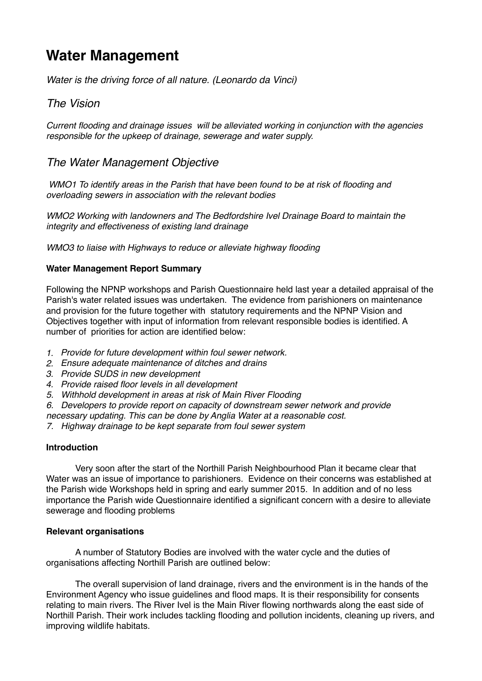# **Water Management**

*Water is the driving force of all nature. (Leonardo da Vinci)*

## *The Vision*

*Current flooding and drainage issues will be alleviated working in conjunction with the agencies responsible for the upkeep of drainage, sewerage and water supply.*

## *The Water Management Objective*

 *WMO1 To identify areas in the Parish that have been found to be at risk of flooding and overloading sewers in association with the relevant bodies*

*WMO2 Working with landowners and The Bedfordshire Ivel Drainage Board to maintain the integrity and effectiveness of existing land drainage*

*WMO3 to liaise with Highways to reduce or alleviate highway flooding*

### **Water Management Report Summary**

Following the NPNP workshops and Parish Questionnaire held last year a detailed appraisal of the Parish's water related issues was undertaken. The evidence from parishioners on maintenance and provision for the future together with statutory requirements and the NPNP Vision and Objectives together with input of information from relevant responsible bodies is identified. A number of priorities for action are identified below:

- *1. Provide for future development within foul sewer network.*
- *2. Ensure adequate maintenance of ditches and drains*
- *3. Provide SUDS in new development*
- *4. Provide raised floor levels in all development*
- *5. Withhold development in areas at risk of Main River Flooding*
- *6. Developers to provide report on capacity of downstream sewer network and provide*
- *necessary updating. This can be done by Anglia Water at a reasonable cost.*
- *7. Highway drainage to be kept separate from foul sewer system*

### **Introduction**

Very soon after the start of the Northill Parish Neighbourhood Plan it became clear that Water was an issue of importance to parishioners. Evidence on their concerns was established at the Parish wide Workshops held in spring and early summer 2015. In addition and of no less importance the Parish wide Questionnaire identified a significant concern with a desire to alleviate sewerage and flooding problems

### **Relevant organisations**

A number of Statutory Bodies are involved with the water cycle and the duties of organisations affecting Northill Parish are outlined below:

The overall supervision of land drainage, rivers and the environment is in the hands of the Environment Agency who issue guidelines and flood maps. It is their responsibility for consents relating to main rivers. The River Ivel is the Main River flowing northwards along the east side of Northill Parish. Their work includes tackling flooding and pollution incidents, cleaning up rivers, and improving wildlife habitats.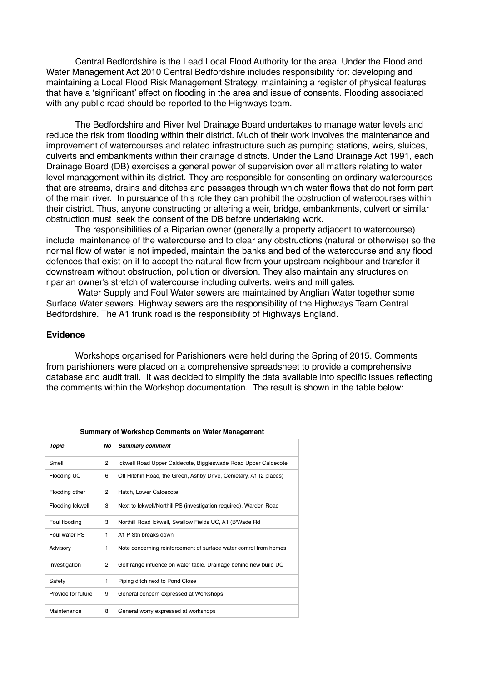Central Bedfordshire is the Lead Local Flood Authority for the area. Under the Flood and Water Management Act 2010 Central Bedfordshire includes responsibility for: developing and maintaining a Local Flood Risk Management Strategy, maintaining a register of physical features that have a 'significant' effect on flooding in the area and issue of consents. Flooding associated with any public road should be reported to the Highways team.

The Bedfordshire and River Ivel Drainage Board undertakes to manage water levels and reduce the risk from flooding within their district. Much of their work involves the maintenance and improvement of watercourses and related infrastructure such as pumping stations, weirs, sluices, culverts and embankments within their drainage districts. Under the Land Drainage Act 1991, each Drainage Board (DB) exercises a general power of supervision over all matters relating to water level management within its district. They are responsible for consenting on ordinary watercourses that are streams, drains and ditches and passages through which water flows that do not form part of the main river. In pursuance of this role they can prohibit the obstruction of watercourses within their district. Thus, anyone constructing or altering a weir, bridge, embankments, culvert or similar obstruction must seek the consent of the DB before undertaking work.

The responsibilities of a Riparian owner (generally a property adjacent to watercourse) include maintenance of the watercourse and to clear any obstructions (natural or otherwise) so the normal flow of water is not impeded, maintain the banks and bed of the watercourse and any flood defences that exist on it to accept the natural flow from your upstream neighbour and transfer it downstream without obstruction, pollution or diversion. They also maintain any structures on riparian owner's stretch of watercourse including culverts, weirs and mill gates.

 Water Supply and Foul Water sewers are maintained by Anglian Water together some Surface Water sewers. Highway sewers are the responsibility of the Highways Team Central Bedfordshire. The A1 trunk road is the responsibility of Highways England.

#### **Evidence**

Workshops organised for Parishioners were held during the Spring of 2015. Comments from parishioners were placed on a comprehensive spreadsheet to provide a comprehensive database and audit trail. It was decided to simplify the data available into specific issues reflecting the comments within the Workshop documentation. The result is shown in the table below:

| annual , or workertop communities on water management |              |                                                                   |
|-------------------------------------------------------|--------------|-------------------------------------------------------------------|
| Topic                                                 | No           | <b>Summary comment</b>                                            |
| Smell                                                 | 2            | Ickwell Road Upper Caldecote, Biggleswade Road Upper Caldecote    |
| Flooding UC                                           | 6            | Off Hitchin Road, the Green, Ashby Drive, Cemetary, A1 (2 places) |
| Flooding other                                        | 2            | Hatch, Lower Caldecote                                            |
| Flooding Ickwell                                      | 3            | Next to Ickwell/Northill PS (investigation required), Warden Road |
| Foul flooding                                         | 3            | Northill Road Ickwell, Swallow Fields UC, A1 (B'Wade Rd           |
| Foul water PS                                         | 1            | A1 P Stn breaks down                                              |
| Advisory                                              | 1            | Note concerning reinforcement of surface water control from homes |
| Investigation                                         | 2            | Golf range infuence on water table. Drainage behind new build UC  |
| Safety                                                | $\mathbf{1}$ | Piping ditch next to Pond Close                                   |
| Provide for future                                    | 9            | General concern expressed at Workshops                            |
| Maintenance                                           | 8            | General worry expressed at workshops                              |

#### **Summary of Workshop Comments on Water Management**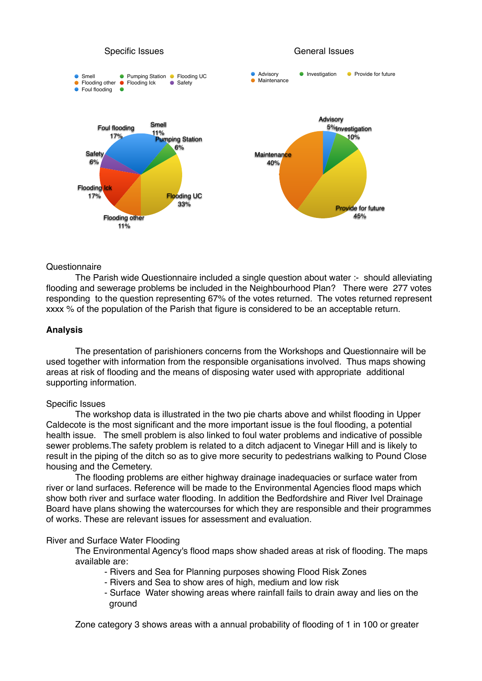

#### **Questionnaire**

The Parish wide Questionnaire included a single question about water :- should alleviating flooding and sewerage problems be included in the Neighbourhood Plan? There were 277 votes responding to the question representing 67% of the votes returned. The votes returned represent xxxx % of the population of the Parish that figure is considered to be an acceptable return.

#### **Analysis**

The presentation of parishioners concerns from the Workshops and Questionnaire will be used together with information from the responsible organisations involved. Thus maps showing areas at risk of flooding and the means of disposing water used with appropriate additional supporting information.

#### Specific Issues

The workshop data is illustrated in the two pie charts above and whilst flooding in Upper Caldecote is the most significant and the more important issue is the foul flooding, a potential health issue. The smell problem is also linked to foul water problems and indicative of possible sewer problems.The safety problem is related to a ditch adjacent to Vinegar Hill and is likely to result in the piping of the ditch so as to give more security to pedestrians walking to Pound Close housing and the Cemetery.

 The flooding problems are either highway drainage inadequacies or surface water from river or land surfaces. Reference will be made to the Environmental Agencies flood maps which show both river and surface water flooding. In addition the Bedfordshire and River Ivel Drainage Board have plans showing the watercourses for which they are responsible and their programmes of works. These are relevant issues for assessment and evaluation.

#### River and Surface Water Flooding

The Environmental Agency's flood maps show shaded areas at risk of flooding. The maps available are:

- Rivers and Sea for Planning purposes showing Flood Risk Zones
- Rivers and Sea to show ares of high, medium and low risk
- Surface Water showing areas where rainfall fails to drain away and lies on the ground

Zone category 3 shows areas with a annual probability of flooding of 1 in 100 or greater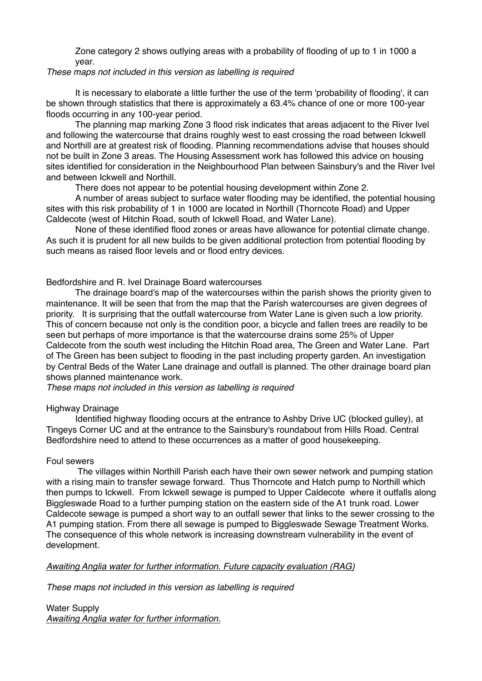Zone category 2 shows outlying areas with a probability of flooding of up to 1 in 1000 a year.

#### *These maps not included in this version as labelling is required*

It is necessary to elaborate a little further the use of the term 'probability of flooding', it can be shown through statistics that there is approximately a 63.4% chance of one or more 100-year floods occurring in any 100-year period.

The planning map marking Zone 3 flood risk indicates that areas adjacent to the River Ivel and following the watercourse that drains roughly west to east crossing the road between Ickwell and Northill are at greatest risk of flooding. Planning recommendations advise that houses should not be built in Zone 3 areas. The Housing Assessment work has followed this advice on housing sites identified for consideration in the Neighbourhood Plan between Sainsbury's and the River Ivel and between Ickwell and Northill.

There does not appear to be potential housing development within Zone 2.

A number of areas subject to surface water flooding may be identified, the potential housing sites with this risk probability of 1 in 1000 are located in Northill (Thorncote Road) and Upper Caldecote (west of Hitchin Road, south of Ickwell Road, and Water Lane).

None of these identified flood zones or areas have allowance for potential climate change. As such it is prudent for all new builds to be given additional protection from potential flooding by such means as raised floor levels and or flood entry devices.

Bedfordshire and R. Ivel Drainage Board watercourses

The drainage board's map of the watercourses within the parish shows the priority given to maintenance. It will be seen that from the map that the Parish watercourses are given degrees of priority. It is surprising that the outfall watercourse from Water Lane is given such a low priority. This of concern because not only is the condition poor, a bicycle and fallen trees are readily to be seen but perhaps of more importance is that the watercourse drains some 25% of Upper Caldecote from the south west including the Hitchin Road area, The Green and Water Lane. Part of The Green has been subject to flooding in the past including property garden. An investigation by Central Beds of the Water Lane drainage and outfall is planned. The other drainage board plan shows planned maintenance work.

*These maps not included in this version as labelling is required*

### Highway Drainage

Identified highway flooding occurs at the entrance to Ashby Drive UC (blocked gulley), at Tingeys Corner UC and at the entrance to the Sainsbury's roundabout from Hills Road. Central Bedfordshire need to attend to these occurrences as a matter of good housekeeping.

### Foul sewers

 The villages within Northill Parish each have their own sewer network and pumping station with a rising main to transfer sewage forward. Thus Thorncote and Hatch pump to Northill which then pumps to Ickwell. From Ickwell sewage is pumped to Upper Caldecote where it outfalls along Biggleswade Road to a further pumping station on the eastern side of the A1 trunk road. Lower Caldecote sewage is pumped a short way to an outfall sewer that links to the sewer crossing to the A1 pumping station. From there all sewage is pumped to Biggleswade Sewage Treatment Works. The consequence of this whole network is increasing downstream vulnerability in the event of development.

#### *Awaiting Anglia water for further information. Future capacity evaluation (RAG)*

*These maps not included in this version as labelling is required*

Water Supply *Awaiting Anglia water for further information.*